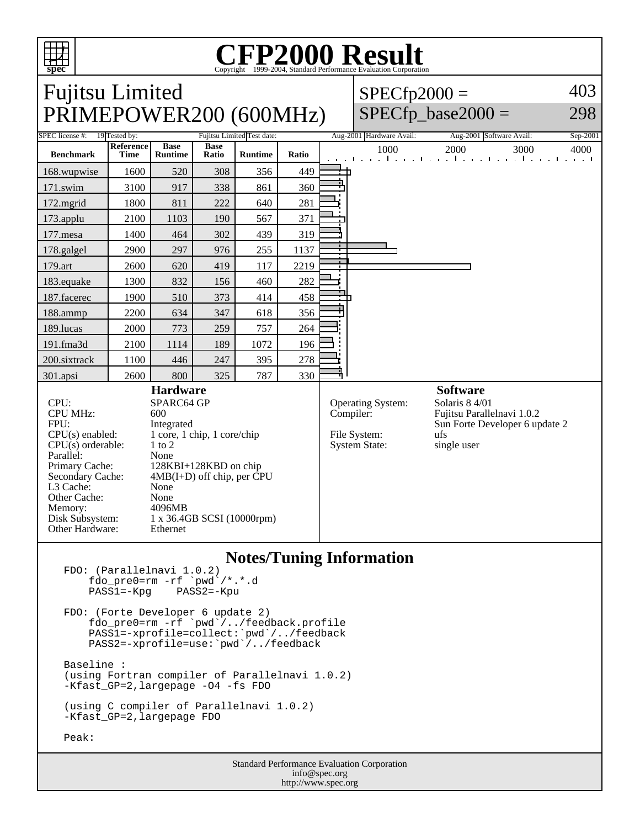

L3 Cache: None<br>Other Cache: None Other Cache: None<br>Memory: 4096MB

Other Hardware: Ethernet

Disk Subsystem: 1 x 36.4GB SCSI (10000rpm)

Memory:

## Copyright ©1999-2004, Standard Performance Evaluation Corporation

| <b>Fujitsu Limited</b>                                         |                          |                               |                      |                |                                                       |                                                                                | $SPECfp2000 =$           |                                                                                                    | 403      |
|----------------------------------------------------------------|--------------------------|-------------------------------|----------------------|----------------|-------------------------------------------------------|--------------------------------------------------------------------------------|--------------------------|----------------------------------------------------------------------------------------------------|----------|
| PRIMEPOWER200 (600MHz)                                         |                          |                               |                      |                |                                                       |                                                                                | $SPECfp\_base2000 =$     |                                                                                                    | 298      |
| SPEC license #:<br>19 Tested by:<br>Fujitsu Limited Test date: |                          |                               |                      |                |                                                       |                                                                                | Aug-2001 Hardware Avail: | Aug-2001 Software Avail:                                                                           | Sep-2001 |
| <b>Benchmark</b>                                               | Reference<br><b>Time</b> | <b>Base</b><br><b>Runtime</b> | <b>Base</b><br>Ratio | <b>Runtime</b> | Ratio                                                 |                                                                                | 1000                     | 2000<br>3000<br>and the model of a continue of the model of a continue to a continue of the second | 4000     |
| 168.wupwise                                                    | 1600                     | 520                           | 308                  | 356            | 449                                                   |                                                                                |                          |                                                                                                    |          |
| 171.swim                                                       | 3100                     | 917                           | 338                  | 861            | 360                                                   |                                                                                |                          |                                                                                                    |          |
| 172.mgrid                                                      | 1800                     | 811                           | 222                  | 640            | 281                                                   |                                                                                |                          |                                                                                                    |          |
| 173.applu                                                      | 2100                     | 1103                          | 190                  | 567            | 371                                                   |                                                                                |                          |                                                                                                    |          |
| 177.mesa                                                       | 1400                     | 464                           | 302                  | 439            | 319                                                   |                                                                                |                          |                                                                                                    |          |
| 178.galgel                                                     | 2900                     | 297                           | 976                  | 255            | 1137                                                  |                                                                                |                          |                                                                                                    |          |
| 179.art                                                        | 2600                     | 620                           | 419                  | 117            | 2219                                                  | <b>TEL:</b>                                                                    |                          |                                                                                                    |          |
| 183.equake                                                     | 1300                     | 832                           | 156                  | 460            | 282                                                   |                                                                                |                          |                                                                                                    |          |
| 187.facerec                                                    | 1900                     | 510                           | 373                  | 414            | 458                                                   |                                                                                |                          |                                                                                                    |          |
| 188.ammp                                                       | 2200                     | 634                           | 347                  | 618            | 356                                                   |                                                                                |                          |                                                                                                    |          |
| 189.lucas                                                      | 2000                     | 773                           | 259                  | 757            | 264                                                   |                                                                                |                          |                                                                                                    |          |
| 191.fma3d                                                      | 2100                     | 1114                          | 189                  | 1072           | 196                                                   |                                                                                |                          |                                                                                                    |          |
| 200.sixtrack                                                   | 1100                     | 446                           | 247                  | 395            | 278                                                   |                                                                                |                          |                                                                                                    |          |
| 301.apsi                                                       | 2600                     | 800                           | 325                  | 787            | 330                                                   |                                                                                |                          |                                                                                                    |          |
| <b>Hardware</b>                                                |                          |                               |                      |                |                                                       |                                                                                |                          | <b>Software</b>                                                                                    |          |
| CPU:<br>SPARC64 GP                                             |                          |                               |                      |                |                                                       | Solaris 8 4/01<br>Operating System:<br>Compiler:<br>Fujitsu Parallelnavi 1.0.2 |                          |                                                                                                    |          |
| <b>CPU MHz:</b><br>600                                         |                          |                               |                      |                |                                                       |                                                                                |                          |                                                                                                    |          |
| FPU:<br>Integrated                                             |                          |                               |                      |                | Sun Forte Developer 6 update 2<br>File System:<br>ufs |                                                                                |                          |                                                                                                    |          |
| $CPU(s)$ enabled:<br>1 core, 1 chip, 1 core/chip               |                          |                               |                      |                |                                                       |                                                                                |                          |                                                                                                    |          |
| $CPU(s)$ orderable:<br>$1$ to $2$                              |                          |                               |                      |                |                                                       | <b>System State:</b>                                                           | single user              |                                                                                                    |          |
| Parallel:<br>None                                              |                          |                               |                      |                |                                                       |                                                                                |                          |                                                                                                    |          |
| Primary Cache:                                                 | 128KBI+128KBD on chip    |                               |                      |                |                                                       |                                                                                |                          |                                                                                                    |          |
| $4MB(I+D)$ off chip, per CPU<br>Secondary Cache:               |                          |                               |                      |                |                                                       |                                                                                |                          |                                                                                                    |          |

## **Notes/Tuning Information**

FDO: (Parallelnavi 1.0.2) fdo\_pre0=rm -rf `pwd`/\*.\*.d<br>PASS1=-Kpg PASS2=-Kpu  $PASS1=-Kpg$ FDO: (Forte Developer 6 update 2) fdo\_pre0=rm -rf `pwd`/../feedback.profile PASS1=-xprofile=collect:`pwd`/../feedback PASS2=-xprofile=use:`pwd`/../feedback Baseline : (using Fortran compiler of Parallelnavi 1.0.2) -Kfast\_GP=2,largepage -O4 -fs FDO (using C compiler of Parallelnavi 1.0.2) -Kfast\_GP=2,largepage FDO Peak:

> Standard Performance Evaluation Corporation info@spec.org http://www.spec.org